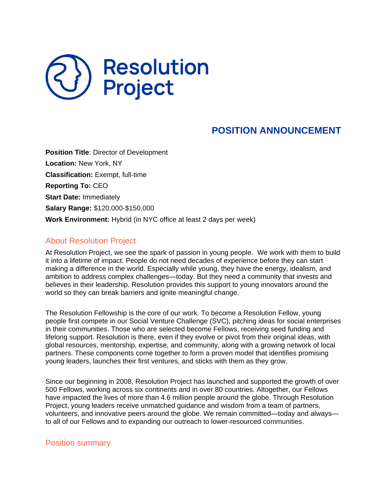# **Resolution<br>Project**

# **POSITION ANNOUNCEMENT**

**Position Title**: Director of Development **Location:** New York, NY **Classification:** Exempt, full-time **Reporting To:** CEO **Start Date:** Immediately **Salary Range:** \$120,000-\$150,000 **Work Environment:** Hybrid (in NYC office at least 2 days per week)

# About Resolution Project

At Resolution Project, we see the spark of passion in young people. We work with them to build it into a lifetime of impact. People do not need decades of experience before they can start making a difference in the world. Especially while young, they have the energy, idealism, and ambition to address complex challenges—today. But they need a community that invests and believes in their leadership. Resolution provides this support to young innovators around the world so they can break barriers and ignite meaningful change.

The Resolution Fellowship is the core of our work. To become a Resolution Fellow, young people first compete in our Social Venture Challenge (SVC), pitching ideas for social enterprises in their communities. Those who are selected become Fellows, receiving seed funding and lifelong support. Resolution is there, even if they evolve or pivot from their original ideas, with global resources, mentorship, expertise, and community, along with a growing network of local partners. These components come together to form a proven model that identifies promising young leaders, launches their first ventures, and sticks with them as they grow.

Since our beginning in 2008, Resolution Project has launched and supported the growth of over 500 Fellows, working across six continents and in over 80 countries. Altogether, our Fellows have impacted the lives of more than 4.6 million people around the globe. Through Resolution Project, young leaders receive unmatched guidance and wisdom from a team of partners, volunteers, and innovative peers around the globe. We remain committed—today and always to all of our Fellows and to expanding our outreach to lower-resourced communities.

### Position summary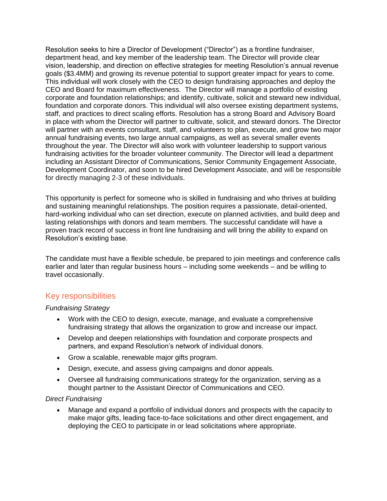Resolution seeks to hire a Director of Development ("Director") as a frontline fundraiser, department head, and key member of the leadership team. The Director will provide clear vision, leadership, and direction on effective strategies for meeting Resolution's annual revenue goals (\$3.4MM) and growing its revenue potential to support greater impact for years to come. This individual will work closely with the CEO to design fundraising approaches and deploy the CEO and Board for maximum effectiveness. The Director will manage a portfolio of existing corporate and foundation relationships; and identify, cultivate, solicit and steward new individual, foundation and corporate donors. This individual will also oversee existing department systems, staff, and practices to direct scaling efforts. Resolution has a strong Board and Advisory Board in place with whom the Director will partner to cultivate, solicit, and steward donors. The Director will partner with an events consultant, staff, and volunteers to plan, execute, and grow two major annual fundraising events, two large annual campaigns, as well as several smaller events throughout the year. The Director will also work with volunteer leadership to support various fundraising activities for the broader volunteer community. The Director will lead a department including an Assistant Director of Communications, Senior Community Engagement Associate, Development Coordinator, and soon to be hired Development Associate, and will be responsible for directly managing 2-3 of these individuals.

This opportunity is perfect for someone who is skilled in fundraising and who thrives at building and sustaining meaningful relationships. The position requires a passionate, detail-oriented, hard-working individual who can set direction, execute on planned activities, and build deep and lasting relationships with donors and team members. The successful candidate will have a proven track record of success in front line fundraising and will bring the ability to expand on Resolution's existing base.

The candidate must have a flexible schedule, be prepared to join meetings and conference calls earlier and later than regular business hours – including some weekends – and be willing to travel occasionally.

# Key responsibilities

### *Fundraising Strategy*

- Work with the CEO to design, execute, manage, and evaluate a comprehensive fundraising strategy that allows the organization to grow and increase our impact.
- Develop and deepen relationships with foundation and corporate prospects and partners, and expand Resolution's network of individual donors.
- Grow a scalable, renewable major gifts program.
- Design, execute, and assess giving campaigns and donor appeals.
- Oversee all fundraising communications strategy for the organization, serving as a thought partner to the Assistant Director of Communications and CEO.

### *Direct Fundraising*

 Manage and expand a portfolio of individual donors and prospects with the capacity to make major gifts, leading face-to-face solicitations and other direct engagement, and deploying the CEO to participate in or lead solicitations where appropriate.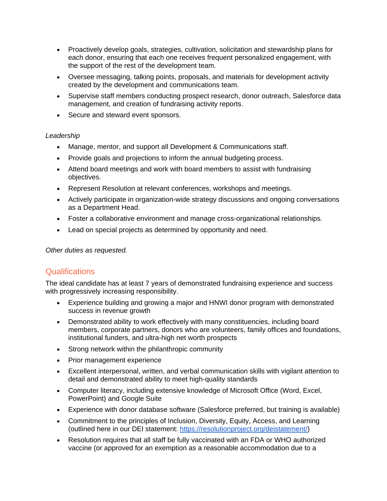- Proactively develop goals, strategies, cultivation, solicitation and stewardship plans for each donor, ensuring that each one receives frequent personalized engagement, with the support of the rest of the development team.
- Oversee messaging, talking points, proposals, and materials for development activity created by the development and communications team.
- Supervise staff members conducting prospect research, donor outreach, Salesforce data management, and creation of fundraising activity reports.
- Secure and steward event sponsors.

### *Leadership*

- Manage, mentor, and support all Development & Communications staff.
- Provide goals and projections to inform the annual budgeting process.
- Attend board meetings and work with board members to assist with fundraising objectives.
- Represent Resolution at relevant conferences, workshops and meetings.
- Actively participate in organization-wide strategy discussions and ongoing conversations as a Department Head.
- Foster a collaborative environment and manage cross-organizational relationships.
- Lead on special projects as determined by opportunity and need.

*Other duties as requested.*

# **Qualifications**

The ideal candidate has at least 7 years of demonstrated fundraising experience and success with progressively increasing responsibility.

- Experience building and growing a major and HNWI donor program with demonstrated success in revenue growth
- Demonstrated ability to work effectively with many constituencies, including board members, corporate partners, donors who are volunteers, family offices and foundations, institutional funders, and ultra-high net worth prospects
- Strong network within the philanthropic community
- Prior management experience
- Excellent interpersonal, written, and verbal communication skills with vigilant attention to detail and demonstrated ability to meet high-quality standards
- Computer literacy, including extensive knowledge of Microsoft Office (Word, Excel, PowerPoint) and Google Suite
- Experience with donor database software (Salesforce preferred, but training is available)
- Commitment to the principles of Inclusion, Diversity, Equity, Access, and Learning (outlined here in our DEI statement: [https://resolutionproject.org/deistatement/\)](https://resolutionproject.org/deistatement/)
- Resolution requires that all staff be fully vaccinated with an FDA or WHO authorized vaccine (or approved for an exemption as a reasonable accommodation due to a